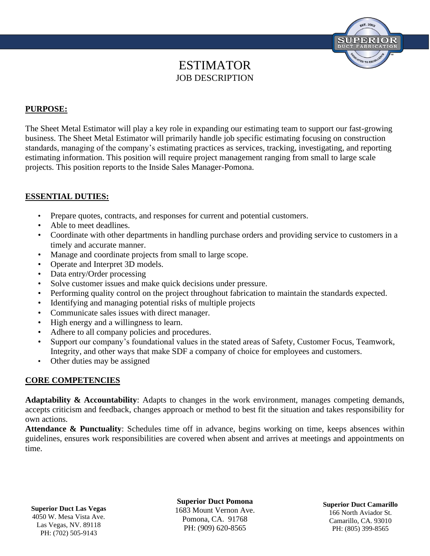# ESTIMATOR JOB DESCRIPTION

## **PURPOSE:**

The Sheet Metal Estimator will play a key role in expanding our estimating team to support our fast-growing business. The Sheet Metal Estimator will primarily handle job specific estimating focusing on construction standards, managing of the company's estimating practices as services, tracking, investigating, and reporting estimating information. This position will require project management ranging from small to large scale projects. This position reports to the Inside Sales Manager-Pomona.

### **ESSENTIAL DUTIES:**

- Prepare quotes, contracts, and responses for current and potential customers.
- Able to meet deadlines.
- Coordinate with other departments in handling purchase orders and providing service to customers in a timely and accurate manner.
- Manage and coordinate projects from small to large scope.
- Operate and Interpret 3D models.
- Data entry/Order processing
- Solve customer issues and make quick decisions under pressure.
- Performing quality control on the project throughout fabrication to maintain the standards expected.
- Identifying and managing potential risks of multiple projects
- Communicate sales issues with direct manager.
- High energy and a willingness to learn.
- Adhere to all company policies and procedures.
- Support our company's foundational values in the stated areas of Safety, Customer Focus, Teamwork, Integrity, and other ways that make SDF a company of choice for employees and customers.
- Other duties may be assigned

#### **CORE COMPETENCIES**

**Adaptability & Accountability**: Adapts to changes in the work environment, manages competing demands, accepts criticism and feedback, changes approach or method to best fit the situation and takes responsibility for own actions.

**Attendance & Punctuality**: Schedules time off in advance, begins working on time, keeps absences within guidelines, ensures work responsibilities are covered when absent and arrives at meetings and appointments on time.

**Superior Duct Las Vegas** 4050 W. Mesa Vista Ave. Las Vegas, NV. 89118 PH: (702) 505-9143

**Superior Duct Pomona** 1683 Mount Vernon Ave. Pomona, CA. 91768 PH: (909) 620-8565

**Superior Duct Camarillo** 166 North Aviador St. Camarillo, CA. 93010 PH: (805) 399-8565

**SUPERIO** 

TED TO EX